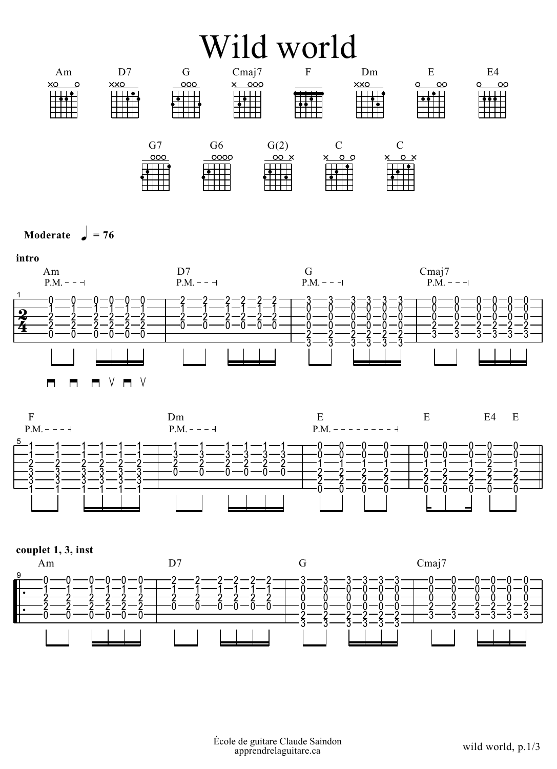## Wild world



Moderate  $= 76$ 





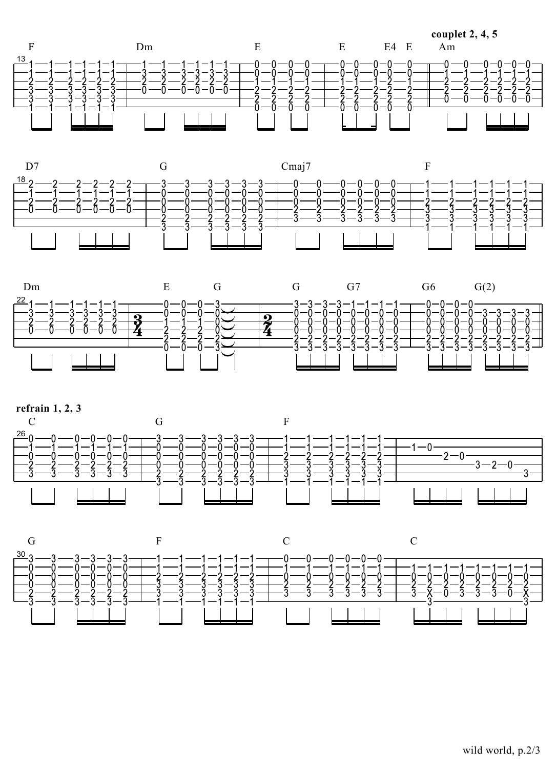









wild world, p.2/3